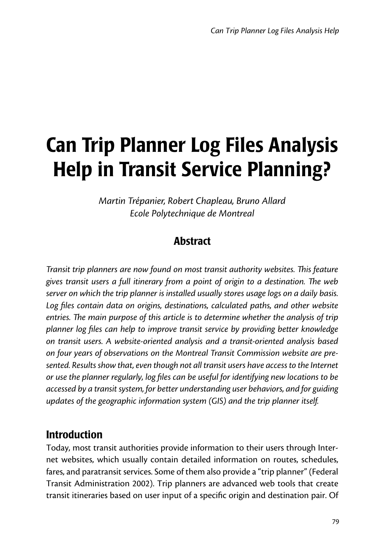# Can Trip Planner Log Files Analysis Help in Transit Service Planning?

*Martin Trépanier, Robert Chapleau, Bruno Allard Ecole Polytechnique de Montreal*

# **Abstract**

*Transit trip planners are now found on most transit authority websites. This feature gives transit users a full itinerary from a point of origin to a destination. The web server on which the trip planner is installed usually stores usage logs on a daily basis.*  Log files contain data on origins, destinations, calculated paths, and other website *entries. The main purpose of this article is to determine whether the analysis of trip planner log files can help to improve transit service by providing better knowledge on transit users. A website-oriented analysis and a transit-oriented analysis based on four years of observations on the Montreal Transit Commission website are presented. Results show that, even though not all transit users have access to the Internet or use the planner regularly, log files can be useful for identifying new locations to be accessed by a transit system, for better understanding user behaviors, and for guiding updates of the geographic information system (GIS) and the trip planner itself.*

## Introduction

Today, most transit authorities provide information to their users through Internet websites, which usually contain detailed information on routes, schedules, fares, and paratransit services. Some of them also provide a "trip planner" (Federal Transit Administration 2002). Trip planners are advanced web tools that create transit itineraries based on user input of a specific origin and destination pair. Of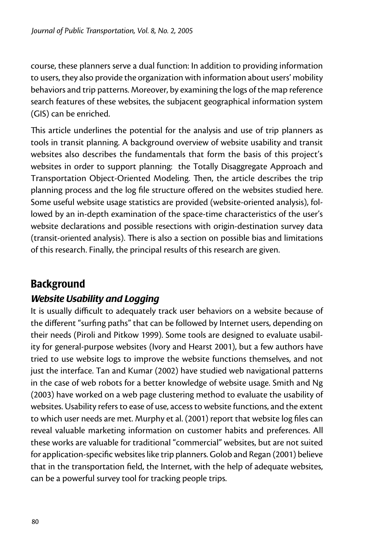course, these planners serve a dual function: In addition to providing information to users, they also provide the organization with information about users' mobility behaviors and trip patterns. Moreover, by examining the logs of the map reference search features of these websites, the subjacent geographical information system (GIS) can be enriched.

This article underlines the potential for the analysis and use of trip planners as tools in transit planning. A background overview of website usability and transit websites also describes the fundamentals that form the basis of this project's websites in order to support planning: the Totally Disaggregate Approach and Transportation Object-Oriented Modeling. Then, the article describes the trip planning process and the log file structure offered on the websites studied here. Some useful website usage statistics are provided (website-oriented analysis), followed by an in-depth examination of the space-time characteristics of the user's website declarations and possible resections with origin-destination survey data (transit-oriented analysis). There is also a section on possible bias and limitations of this research. Finally, the principal results of this research are given.

# Background

## *Website Usability and Logging*

It is usually difficult to adequately track user behaviors on a website because of the different "surfing paths" that can be followed by Internet users, depending on their needs (Piroli and Pitkow 1999). Some tools are designed to evaluate usability for general-purpose websites (Ivory and Hearst 2001), but a few authors have tried to use website logs to improve the website functions themselves, and not just the interface. Tan and Kumar (2002) have studied web navigational patterns in the case of web robots for a better knowledge of website usage. Smith and Ng (2003) have worked on a web page clustering method to evaluate the usability of websites. Usability refers to ease of use, access to website functions, and the extent to which user needs are met. Murphy et al. (2001) report that website log files can reveal valuable marketing information on customer habits and preferences. All these works are valuable for traditional "commercial" websites, but are not suited for application-specific websites like trip planners. Golob and Regan (2001) believe that in the transportation field, the Internet, with the help of adequate websites, can be a powerful survey tool for tracking people trips.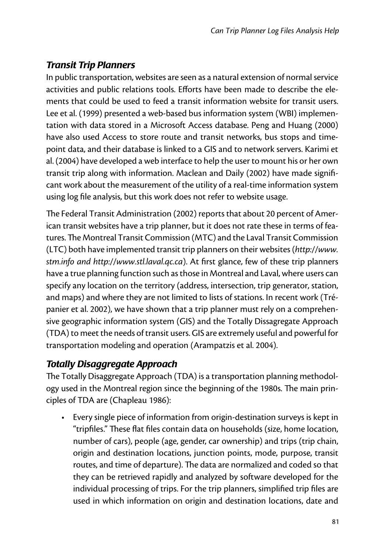## *Transit Trip Planners*

In public transportation, websites are seen as a natural extension of normal service activities and public relations tools. Efforts have been made to describe the elements that could be used to feed a transit information website for transit users. Lee et al. (1999) presented a web-based bus information system (WBI) implementation with data stored in a Microsoft Access database. Peng and Huang (2000) have also used Access to store route and transit networks, bus stops and timepoint data, and their database is linked to a GIS and to network servers. Karimi et al. (2004) have developed a web interface to help the user to mount his or her own transit trip along with information. Maclean and Daily (2002) have made significant work about the measurement of the utility of a real-time information system using log file analysis, but this work does not refer to website usage.

The Federal Transit Administration (2002) reports that about 20 percent of American transit websites have a trip planner, but it does not rate these in terms of features. The Montreal Transit Commission (MTC) and the Laval Transit Commission (LTC) both have implemented transit trip planners on their websites (*http://www. stm.info and http://www.stl.laval.qc.ca*). At first glance, few of these trip planners have a true planning function such as those in Montreal and Laval, where users can specify any location on the territory (address, intersection, trip generator, station, and maps) and where they are not limited to lists of stations. In recent work (Trépanier et al. 2002), we have shown that a trip planner must rely on a comprehensive geographic information system (GIS) and the Totally Dissagregate Approach (TDA) to meet the needs of transit users. GIS are extremely useful and powerful for transportation modeling and operation (Arampatzis et al. 2004).

## *Totally Disaggregate Approach*

The Totally Disaggregate Approach (TDA) is a transportation planning methodology used in the Montreal region since the beginning of the 1980s. The main principles of TDA are (Chapleau 1986):

• Every single piece of information from origin-destination surveys is kept in "tripfiles." These flat files contain data on households (size, home location, number of cars), people (age, gender, car ownership) and trips (trip chain, origin and destination locations, junction points, mode, purpose, transit routes, and time of departure). The data are normalized and coded so that they can be retrieved rapidly and analyzed by software developed for the individual processing of trips. For the trip planners, simplified trip files are used in which information on origin and destination locations, date and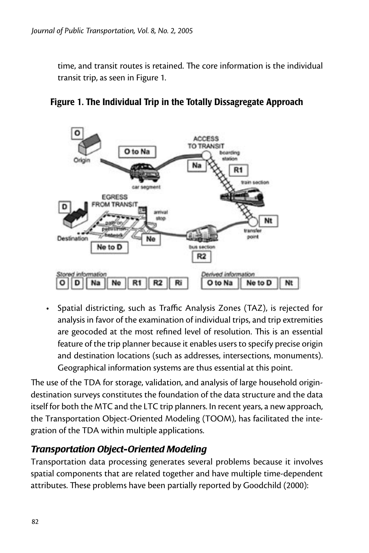time, and transit routes is retained. The core information is the individual transit trip, as seen in Figure 1.





• Spatial districting, such as Traffic Analysis Zones (TAZ), is rejected for analysis in favor of the examination of individual trips, and trip extremities are geocoded at the most refined level of resolution. This is an essential feature of the trip planner because it enables users to specify precise origin and destination locations (such as addresses, intersections, monuments). Geographical information systems are thus essential at this point.

The use of the TDA for storage, validation, and analysis of large household origindestination surveys constitutes the foundation of the data structure and the data itself for both the MTC and the LTC trip planners. In recent years, a new approach, the Transportation Object-Oriented Modeling (TOOM), has facilitated the integration of the TDA within multiple applications.

## *Transportation Object-Oriented Modeling*

Transportation data processing generates several problems because it involves spatial components that are related together and have multiple time-dependent attributes. These problems have been partially reported by Goodchild (2000):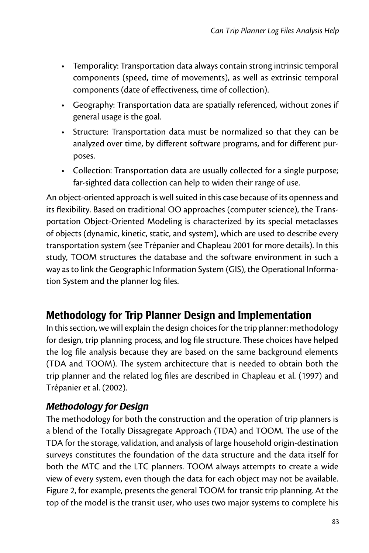- Temporality: Transportation data always contain strong intrinsic temporal components (speed, time of movements), as well as extrinsic temporal components (date of effectiveness, time of collection).
- Geography: Transportation data are spatially referenced, without zones if general usage is the goal.
- Structure: Transportation data must be normalized so that they can be analyzed over time, by different software programs, and for different purposes.
- Collection: Transportation data are usually collected for a single purpose; far-sighted data collection can help to widen their range of use.

An object-oriented approach is well suited in this case because of its openness and its flexibility. Based on traditional OO approaches (computer science), the Transportation Object-Oriented Modeling is characterized by its special metaclasses of objects (dynamic, kinetic, static, and system), which are used to describe every transportation system (see Trépanier and Chapleau 2001 for more details). In this study, TOOM structures the database and the software environment in such a way as to link the Geographic Information System (GIS), the Operational Information System and the planner log files.

# Methodology for Trip Planner Design and Implementation

In this section, we will explain the design choices for the trip planner: methodology for design, trip planning process, and log file structure. These choices have helped the log file analysis because they are based on the same background elements (TDA and TOOM). The system architecture that is needed to obtain both the trip planner and the related log files are described in Chapleau et al. (1997) and Trépanier et al. (2002).

## *Methodology for Design*

The methodology for both the construction and the operation of trip planners is a blend of the Totally Dissagregate Approach (TDA) and TOOM. The use of the TDA for the storage, validation, and analysis of large household origin-destination surveys constitutes the foundation of the data structure and the data itself for both the MTC and the LTC planners. TOOM always attempts to create a wide view of every system, even though the data for each object may not be available. Figure 2, for example, presents the general TOOM for transit trip planning. At the top of the model is the transit user, who uses two major systems to complete his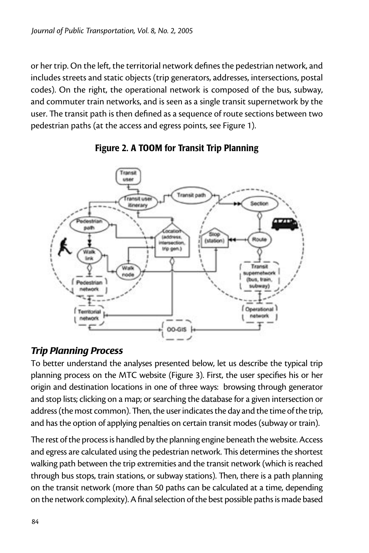or her trip. On the left, the territorial network defines the pedestrian network, and includes streets and static objects (trip generators, addresses, intersections, postal codes). On the right, the operational network is composed of the bus, subway, and commuter train networks, and is seen as a single transit supernetwork by the user. The transit path is then defined as a sequence of route sections between two pedestrian paths (at the access and egress points, see Figure 1).





#### *Trip Planning Process*

To better understand the analyses presented below, let us describe the typical trip planning process on the MTC website (Figure 3). First, the user specifies his or her origin and destination locations in one of three ways: browsing through generator and stop lists; clicking on a map; or searching the database for a given intersection or address (the most common). Then, the user indicates the day and the time of the trip, and has the option of applying penalties on certain transit modes (subway or train).

The rest of the process is handled by the planning engine beneath the website. Access and egress are calculated using the pedestrian network. This determines the shortest walking path between the trip extremities and the transit network (which is reached through bus stops, train stations, or subway stations). Then, there is a path planning on the transit network (more than 50 paths can be calculated at a time, depending on the network complexity). A final selection of the best possible paths is made based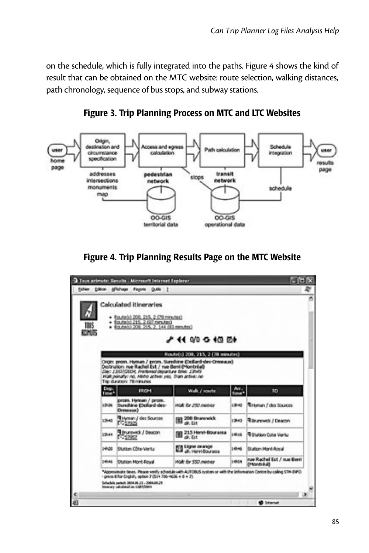on the schedule, which is fully integrated into the paths. Figure 4 shows the kind of result that can be obtained on the MTC website: route selection, walking distances, path chronology, sequence of bus stops, and subway stations.



Figure 3. Trip Planning Process on MTC and LTC Websites



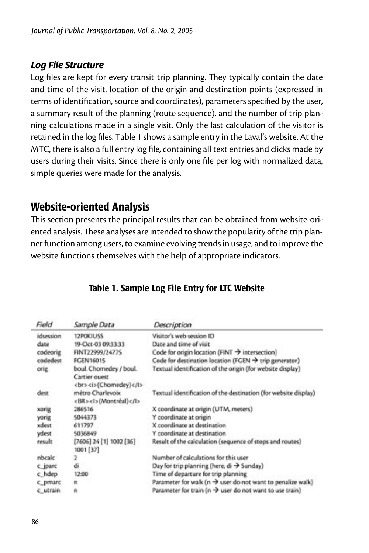#### *Log File Structure*

Log files are kept for every transit trip planning. They typically contain the date and time of the visit, location of the origin and destination points (expressed in terms of identification, source and coordinates), parameters specified by the user, a summary result of the planning (route sequence), and the number of trip planning calculations made in a single visit. Only the last calculation of the visitor is retained in the log files. Table 1 shows a sample entry in the Laval's website. At the MTC, there is also a full entry log file, containing all text entries and clicks made by users during their visits. Since there is only one file per log with normalized data, simple queries were made for the analysis.

## Website-oriented Analysis

This section presents the principal results that can be obtained from website-oriented analysis. These analyses are intended to show the popularity of the trip planner function among users, to examine evolving trends in usage, and to improve the website functions themselves with the help of appropriate indicators.

| Field     | Sample Data             | Description                                                             |
|-----------|-------------------------|-------------------------------------------------------------------------|
| idsession | 12POKIUSS               | Visitor's web session ID                                                |
| date      | 19-Oct-03 09:33:33      | Date and time of visit                                                  |
| codeorig  | FINT22999/24775         | Code for origin location (FINT $\rightarrow$ intersection)              |
| codedest  | <b>FCEN16015</b>        | Code for destination location (FGEN $\rightarrow$ trip generator)       |
| orig      | boul. Chomedey / boul.  | l'extual identification of the origin (for website display)             |
|           | Cartier quest           |                                                                         |
|           | <br><i>(Chomedey)</i>   |                                                                         |
| dest      | métro Charleyoix        | Textual identification of the destination (for website display)         |
|           | <br><l>(Montréal)</l>   |                                                                         |
| xorig     | 286516                  | X coordinate at origin (UTM, meters)                                    |
| yonig     | 5044373                 | Y coordinate at origin                                                  |
| xdest     | 611797                  | X coordinate at destination                                             |
| ydest     | 5036849                 | Y coordinate at destination                                             |
| result    | [7606] 24 [1] 1002 [36] | Result of the calculation (sequence of stops and routes)                |
|           | 1001 [37]               |                                                                         |
| nbcalc    | 2                       | Number of calculations for this user                                    |
| c jparc   | á                       | Day for trip planning (here, $di \rightarrow$ Sunday)                   |
| c hdep    | 12:00                   | Time of departure for trip planning                                     |
| c_pmarc   | n                       | Parameter for walk ( $n \rightarrow$ user do not want to penalize walk) |
| c_utrain  | n                       | Parameter for train ( $n \rightarrow$ user do not want to use train)    |

## Table 1. Sample Log File Entry for LTC Website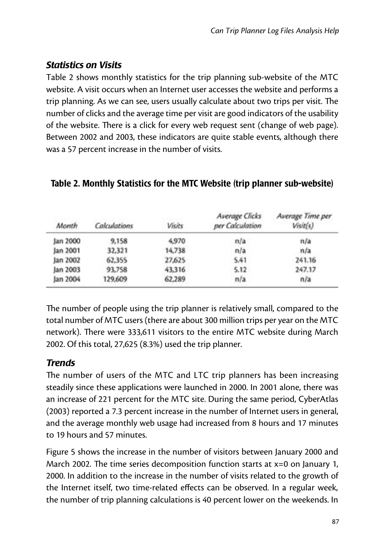## *Statistics on Visits*

Table 2 shows monthly statistics for the trip planning sub-website of the MTC website. A visit occurs when an Internet user accesses the website and performs a trip planning. As we can see, users usually calculate about two trips per visit. The number of clicks and the average time per visit are good indicators of the usability of the website. There is a click for every web request sent (change of web page). Between 2002 and 2003, these indicators are quite stable events, although there was a 57 percent increase in the number of visits.

| Manth    | Calculations | <b>Visits</b> | Average Clicks<br>per Calculation | Average Time per<br>Visit(s) |
|----------|--------------|---------------|-----------------------------------|------------------------------|
| Jan 2000 | 9,158        | 4,970         | n/a                               | n/a                          |
| Jan 2001 | 32,321       | 14,738        | n/a                               | n/a                          |
| Jan 2002 | 62,355       | 27,625        | 5.41                              | 241.16                       |
| Jan 2003 | 93,758       | 43,316        | 5.12                              | 247.17                       |
| Jan 2004 | 129,609      | 62.289        | n/a                               | n/a                          |

#### Table 2. Monthly Statistics for the MTC Website (trip planner sub-website)

The number of people using the trip planner is relatively small, compared to the total number of MTC users (there are about 300 million trips per year on the MTC network). There were 333,611 visitors to the entire MTC website during March 2002. Of this total, 27,625 (8.3%) used the trip planner.

## *Trends*

The number of users of the MTC and LTC trip planners has been increasing steadily since these applications were launched in 2000. In 2001 alone, there was an increase of 221 percent for the MTC site. During the same period, CyberAtlas (2003) reported a 7.3 percent increase in the number of Internet users in general, and the average monthly web usage had increased from 8 hours and 17 minutes to 19 hours and 57 minutes.

Figure 5 shows the increase in the number of visitors between January 2000 and March 2002. The time series decomposition function starts at  $x=0$  on January 1, 2000. In addition to the increase in the number of visits related to the growth of the Internet itself, two time-related effects can be observed. In a regular week, the number of trip planning calculations is 40 percent lower on the weekends. In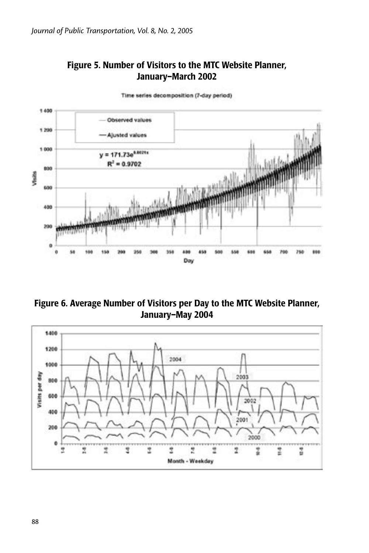



Time series decomposition (7-day period)

Figure 6. Average Number of Visitors per Day to the MTC Website Planner, January–May 2004

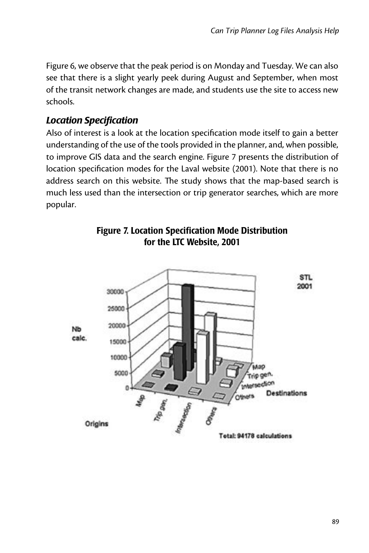Figure 6, we observe that the peak period is on Monday and Tuesday. We can also see that there is a slight yearly peek during August and September, when most of the transit network changes are made, and students use the site to access new schools.

#### *Location Specification*

Also of interest is a look at the location specification mode itself to gain a better understanding of the use of the tools provided in the planner, and, when possible, to improve GIS data and the search engine. Figure 7 presents the distribution of location specification modes for the Laval website (2001). Note that there is no address search on this website. The study shows that the map-based search is much less used than the intersection or trip generator searches, which are more popular.



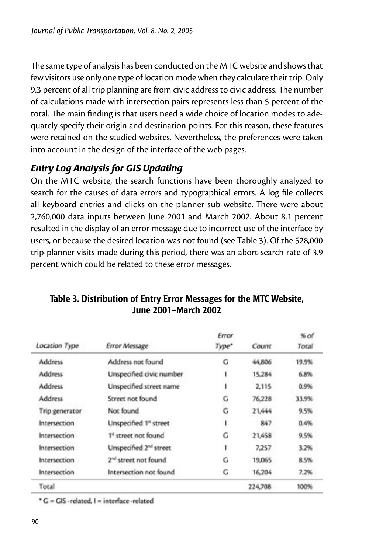The same type of analysis has been conducted on the MTC website and shows that few visitors use only one type of location mode when they calculate their trip. Only 9.3 percent of all trip planning are from civic address to civic address. The number of calculations made with intersection pairs represents less than 5 percent of the total. The main finding is that users need a wide choice of location modes to adequately specify their origin and destination points. For this reason, these features were retained on the studied websites. Nevertheless, the preferences were taken into account in the design of the interface of the web pages.

## *Entry Log Analysis for GIS Updating*

On the MTC website, the search functions have been thoroughly analyzed to search for the causes of data errors and typographical errors. A log file collects all keyboard entries and clicks on the planner sub-website. There were about 2,760,000 data inputs between June 2001 and March 2002. About 8.1 percent resulted in the display of an error message due to incorrect use of the interface by users, or because the desired location was not found (see Table 3). Of the 528,000 trip-planner visits made during this period, there was an abort-search rate of 3.9 percent which could be related to these error messages.

|                |                                    | Error |         | $%$ of |
|----------------|------------------------------------|-------|---------|--------|
| Location Type  | <b>Error Message</b>               | Type* | Count   | Total  |
| <b>Address</b> | Address not found                  | G     | 44,806  | 19.9%  |
| <b>Address</b> | Unspecified civic number           |       | 15,284  | 6.8%   |
| <b>Address</b> | Unspecified street name            |       | 2,115   | 0.9%   |
| Address        | Street not found                   | G     | 76,228  | 33.9%  |
| Trip generator | Not found                          | G     | 21,444  | 9.5%   |
| Intersection   | Unspecified 1 <sup>e</sup> street  |       | 847     | 0.4%   |
| Intersection   | 1 <sup>st</sup> street not found   | G     | 21,458  | 9.5%   |
| Intersection   | Unspecified 2 <sup>nd</sup> street |       | 7,257   | 3.2%   |
| Intersection   | $2nd$ street not found             | G     | 19,065  | 8.5%   |
| Intersection   | Intersection not found             | G     | 16.204  | 7.2%   |
| Total          |                                    |       | 224,708 | 100%   |

#### Table 3. Distribution of Entry Error Messages for the MTC Website, June 2001–March 2002

\* G = GIS - related. I = interface - related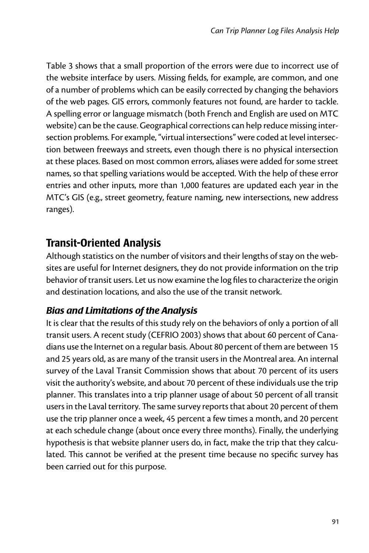Table 3 shows that a small proportion of the errors were due to incorrect use of the website interface by users. Missing fields, for example, are common, and one of a number of problems which can be easily corrected by changing the behaviors of the web pages. GIS errors, commonly features not found, are harder to tackle. A spelling error or language mismatch (both French and English are used on MTC website) can be the cause. Geographical corrections can help reduce missing intersection problems. For example, "virtual intersections" were coded at level intersection between freeways and streets, even though there is no physical intersection at these places. Based on most common errors, aliases were added for some street names, so that spelling variations would be accepted. With the help of these error entries and other inputs, more than 1,000 features are updated each year in the MTC's GIS (e.g., street geometry, feature naming, new intersections, new address ranges).

# Transit-Oriented Analysis

Although statistics on the number of visitors and their lengths of stay on the websites are useful for Internet designers, they do not provide information on the trip behavior of transit users. Let us now examine the log files to characterize the origin and destination locations, and also the use of the transit network.

## *Bias and Limitations of the Analysis*

It is clear that the results of this study rely on the behaviors of only a portion of all transit users. A recent study (CEFRIO 2003) shows that about 60 percent of Canadians use the Internet on a regular basis. About 80 percent of them are between 15 and 25 years old, as are many of the transit users in the Montreal area. An internal survey of the Laval Transit Commission shows that about 70 percent of its users visit the authority's website, and about 70 percent of these individuals use the trip planner. This translates into a trip planner usage of about 50 percent of all transit users in the Laval territory. The same survey reports that about 20 percent of them use the trip planner once a week, 45 percent a few times a month, and 20 percent at each schedule change (about once every three months). Finally, the underlying hypothesis is that website planner users do, in fact, make the trip that they calculated. This cannot be verified at the present time because no specific survey has been carried out for this purpose.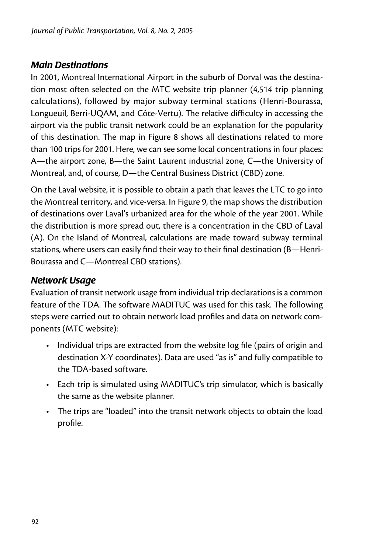#### *Main Destinations*

In 2001, Montreal International Airport in the suburb of Dorval was the destination most often selected on the MTC website trip planner (4,514 trip planning calculations), followed by major subway terminal stations (Henri-Bourassa, Longueuil, Berri-UQAM, and Côte-Vertu). The relative difficulty in accessing the airport via the public transit network could be an explanation for the popularity of this destination. The map in Figure 8 shows all destinations related to more than 100 trips for 2001. Here, we can see some local concentrations in four places: A—the airport zone, B—the Saint Laurent industrial zone, C—the University of Montreal, and, of course, D—the Central Business District (CBD) zone.

On the Laval website, it is possible to obtain a path that leaves the LTC to go into the Montreal territory, and vice-versa. In Figure 9, the map shows the distribution of destinations over Laval's urbanized area for the whole of the year 2001. While the distribution is more spread out, there is a concentration in the CBD of Laval (A). On the Island of Montreal, calculations are made toward subway terminal stations, where users can easily find their way to their final destination (B—Henri-Bourassa and C—Montreal CBD stations).

## *Network Usage*

Evaluation of transit network usage from individual trip declarations is a common feature of the TDA. The software MADITUC was used for this task. The following steps were carried out to obtain network load profiles and data on network components (MTC website):

- Individual trips are extracted from the website log file (pairs of origin and destination X-Y coordinates). Data are used "as is" and fully compatible to the TDA-based software.
- Each trip is simulated using MADITUC's trip simulator, which is basically the same as the website planner.
- The trips are "loaded" into the transit network objects to obtain the load profile.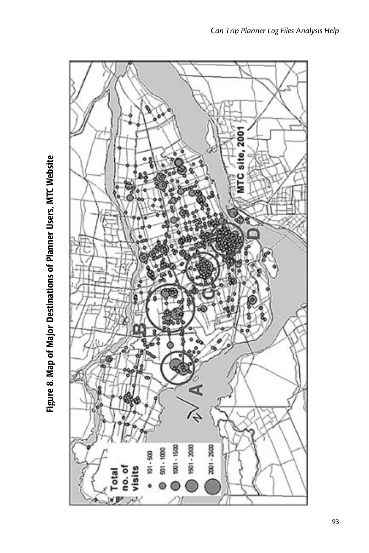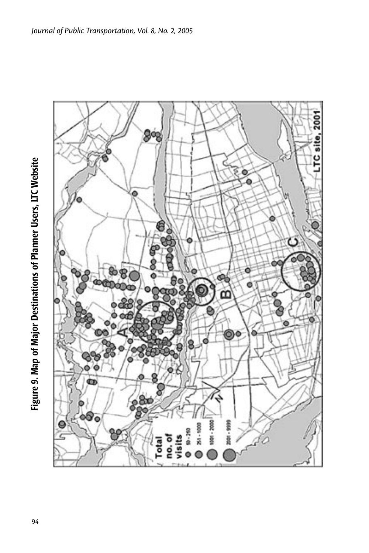

Figure 9. Map of Major Destinations of Planner Users, LTC Website 94Figure 9. Map of Major Destinations of Planner Users, LTC Website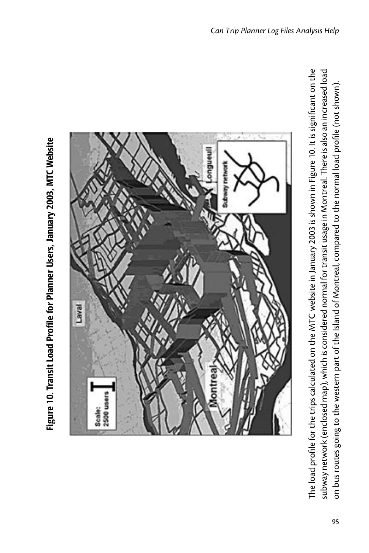



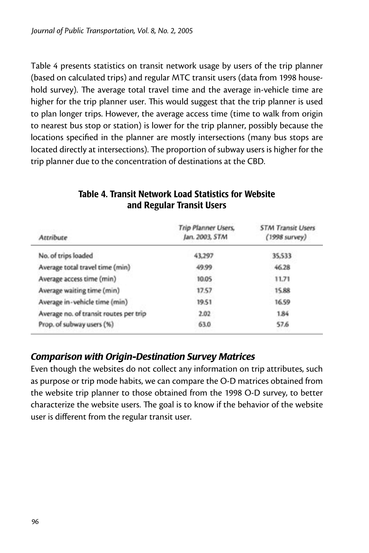Table 4 presents statistics on transit network usage by users of the trip planner (based on calculated trips) and regular MTC transit users (data from 1998 household survey). The average total travel time and the average in-vehicle time are higher for the trip planner user. This would suggest that the trip planner is used to plan longer trips. However, the average access time (time to walk from origin to nearest bus stop or station) is lower for the trip planner, possibly because the locations specified in the planner are mostly intersections (many bus stops are located directly at intersections). The proportion of subway users is higher for the trip planner due to the concentration of destinations at the CBD.

| Attribute                              | <b>Trip Planner Users.</b><br>Jan. 2003, STM | <b>STM Transit Users</b><br>(1998 survey) |
|----------------------------------------|----------------------------------------------|-------------------------------------------|
| No. of trips loaded                    | 43,297                                       | 35,533                                    |
| Average total travel time (min)        | 49.99                                        | 46.28                                     |
| Average access time (min)              | 10.05                                        | 11.71                                     |
| Average waiting time (min)             | 17.57                                        | 15.88                                     |
| Average in-vehicle time (min)          | 19.51                                        | 16.59                                     |
| Average no. of transit routes per trip | 2.02                                         | 1.84                                      |
| Prop. of subway users (%)              | 63.0                                         | 57.6                                      |

#### Table 4. Transit Network Load Statistics for Website and Regular Transit Users

#### *Comparison with Origin-Destination Survey Matrices*

Even though the websites do not collect any information on trip attributes, such as purpose or trip mode habits, we can compare the O-D matrices obtained from the website trip planner to those obtained from the 1998 O-D survey, to better characterize the website users. The goal is to know if the behavior of the website user is different from the regular transit user.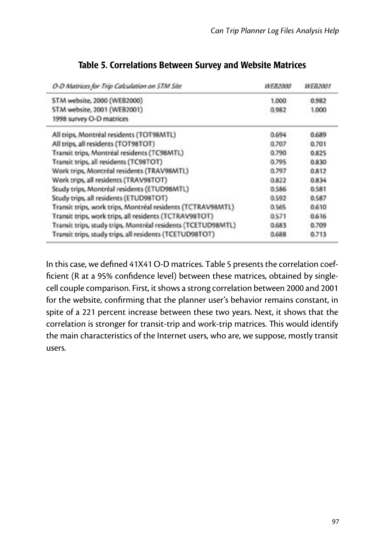| O-D Matrices for Trip Calculation on STM Site                | <b>WE82000</b> | <i><b>WE82001</b></i> |
|--------------------------------------------------------------|----------------|-----------------------|
| STM website, 2000 (WEB2000)                                  | 1,000          | 0.982                 |
| STM website, 2001 (WEB2001)                                  | 0.982          | 1,000                 |
| 1998 survey O-D matrices                                     |                |                       |
| All trips, Montréal residents (TOT98MTL)                     | 0.694          | 0.689                 |
| All trips, all residents (TOT98TOT)                          | 0.707          | 0.701                 |
| Transit trips, Montréal residents (TC98MTL)                  | 0.790          | 0.825                 |
| Transit trips, all residents (TC98TOT)                       | 0.795          | 0.830                 |
| Work trips, Montréal residents (TRAV98MTL)                   | 0.797          | 0.812                 |
| Work trips, all residents (TRAV98TOT)                        | 0.822          | 0.834                 |
| Study trips, Montréal residents (ETUD98MTL)                  | 0.586          | 0.581                 |
| Study trips, all residents (ETUD98TOT)                       | 0.592          | 0.587                 |
| Transit trips, work trips, Montréal residents (TCTRAV98MTL)  | 0.565          | 0.610                 |
| Transit trips, work trips, all residents (TCTRAV98TOT)       | 0.571          | 0.616                 |
| Transit trips, study trips, Montréal residents (TCETUD98MTL) | 0.683          | 0.709                 |
| Transit trips, study trips, all residents (TCETUD98TOT)      | 0.688          | 0.713                 |

#### Table 5. Correlations Between Survey and Website Matrices

In this case, we defined 41X41 O-D matrices. Table 5 presents the correlation coefficient (R at a 95% confidence level) between these matrices, obtained by singlecell couple comparison. First, it shows a strong correlation between 2000 and 2001 for the website, confirming that the planner user's behavior remains constant, in spite of a 221 percent increase between these two years. Next, it shows that the correlation is stronger for transit-trip and work-trip matrices. This would identify the main characteristics of the Internet users, who are, we suppose, mostly transit users.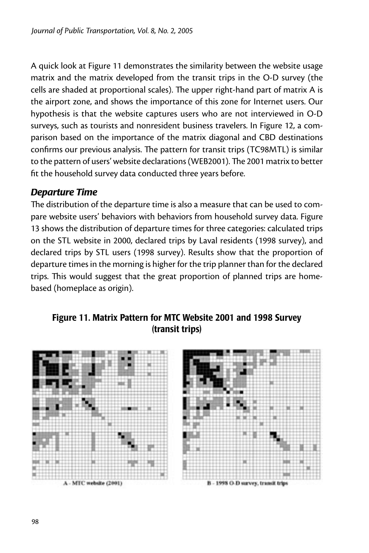A quick look at Figure 11 demonstrates the similarity between the website usage matrix and the matrix developed from the transit trips in the O-D survey (the cells are shaded at proportional scales). The upper right-hand part of matrix A is the airport zone, and shows the importance of this zone for Internet users. Our hypothesis is that the website captures users who are not interviewed in O-D surveys, such as tourists and nonresident business travelers. In Figure 12, a comparison based on the importance of the matrix diagonal and CBD destinations confirms our previous analysis. The pattern for transit trips (TC98MTL) is similar to the pattern of users' website declarations (WEB2001). The 2001 matrix to better fit the household survey data conducted three years before.

#### *Departure Time*

The distribution of the departure time is also a measure that can be used to compare website users' behaviors with behaviors from household survey data. Figure 13 shows the distribution of departure times for three categories: calculated trips on the STL website in 2000, declared trips by Laval residents (1998 survey), and declared trips by STL users (1998 survey). Results show that the proportion of departure times in the morning is higher for the trip planner than for the declared trips. This would suggest that the great proportion of planned trips are homebased (homeplace as origin).

#### Figure 11. Matrix Pattern for MTC Website 2001 and 1998 Survey (transit trips)

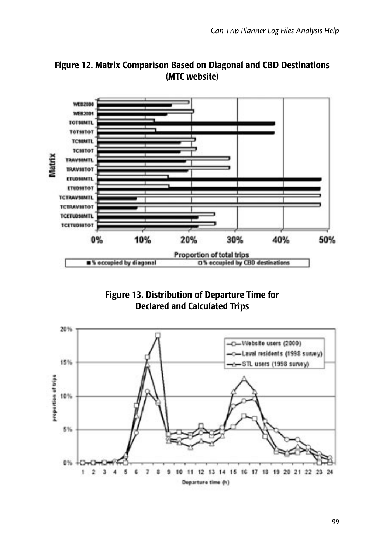

Figure 12. Matrix Comparison Based on Diagonal and CBD Destinations (MTC website)

Figure 13. Distribution of Departure Time for Declared and Calculated Trips

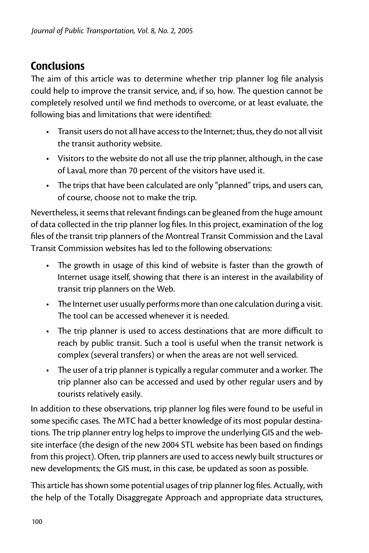# **Conclusions**

The aim of this article was to determine whether trip planner log file analysis could help to improve the transit service, and, if so, how. The question cannot be completely resolved until we find methods to overcome, or at least evaluate, the following bias and limitations that were identified:

- Transit users do not all have access to the Internet; thus, they do not all visit the transit authority website.
- Visitors to the website do not all use the trip planner, although, in the case of Laval, more than 70 percent of the visitors have used it.
- The trips that have been calculated are only "planned" trips, and users can, of course, choose not to make the trip.

Nevertheless, it seems that relevant findings can be gleaned from the huge amount of data collected in the trip planner log files. In this project, examination of the log files of the transit trip planners of the Montreal Transit Commission and the Laval Transit Commission websites has led to the following observations:

- The growth in usage of this kind of website is faster than the growth of Internet usage itself, showing that there is an interest in the availability of transit trip planners on the Web.
- The Internet user usually performs more than one calculation during a visit. The tool can be accessed whenever it is needed.
- The trip planner is used to access destinations that are more difficult to reach by public transit. Such a tool is useful when the transit network is complex (several transfers) or when the areas are not well serviced.
- The user of a trip planner is typically a regular commuter and a worker. The trip planner also can be accessed and used by other regular users and by tourists relatively easily.

In addition to these observations, trip planner log files were found to be useful in some specific cases. The MTC had a better knowledge of its most popular destinations. The trip planner entry log helps to improve the underlying GIS and the website interface (the design of the new 2004 STL website has been based on findings from this project). Often, trip planners are used to access newly built structures or new developments; the GIS must, in this case, be updated as soon as possible.

This article has shown some potential usages of trip planner log files. Actually, with the help of the Totally Disaggregate Approach and appropriate data structures,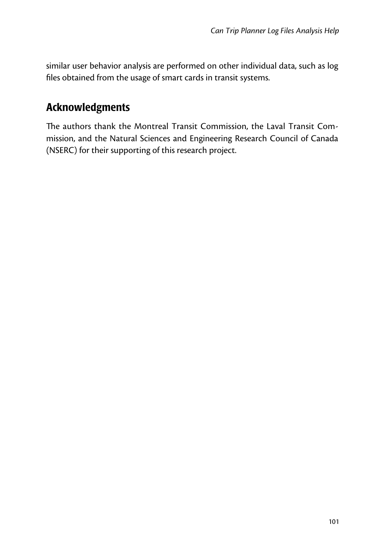similar user behavior analysis are performed on other individual data, such as log files obtained from the usage of smart cards in transit systems.

# Acknowledgments

The authors thank the Montreal Transit Commission, the Laval Transit Commission, and the Natural Sciences and Engineering Research Council of Canada (NSERC) for their supporting of this research project.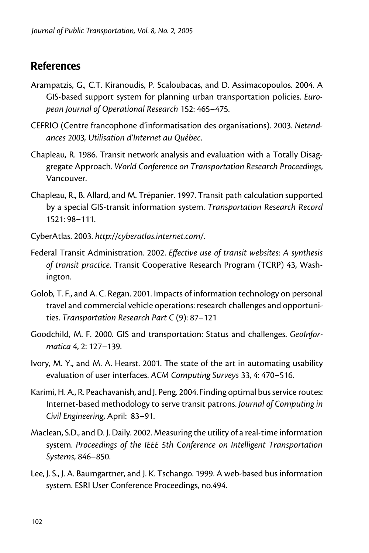# **References**

- Arampatzis, G., C.T. Kiranoudis, P. Scaloubacas, and D. Assimacopoulos. 2004. A GIS-based support system for planning urban transportation policies. *European Journal of Operational Research* 152: 465–475.
- CEFRIO (Centre francophone d'informatisation des organisations). 2003. *Netendances 2003, Utilisation d'Internet au Québec*.
- Chapleau, R. 1986. Transit network analysis and evaluation with a Totally Disaggregate Approach. *World Conference on Transportation Research Proceedings*, Vancouver.
- Chapleau, R., B. Allard, and M. Trépanier. 1997. Transit path calculation supported by a special GIS-transit information system. *Transportation Research Record*  1521: 98–111.
- CyberAtlas. 2003. *http://cyberatlas.internet.com/*.
- Federal Transit Administration. 2002. *Effective use of transit websites: A synthesis of transit practice*. Transit Cooperative Research Program (TCRP) 43, Washington.
- Golob, T. F., and A. C. Regan. 2001. Impacts of information technology on personal travel and commercial vehicle operations: research challenges and opportunities. *Transportation Research Part C* (9): 87–121
- Goodchild, M. F. 2000. GIS and transportation: Status and challenges. *GeoInformatica* 4, 2: 127–139.
- Ivory, M. Y., and M. A. Hearst. 2001. The state of the art in automating usability evaluation of user interfaces. *ACM Computing Surveys* 33, 4: 470–516.
- Karimi, H. A., R. Peachavanish, and J. Peng. 2004. Finding optimal bus service routes: Internet-based methodology to serve transit patrons. *Journal of Computing in Civil Engineering*, April: 83–91.
- Maclean, S.D., and D. J. Daily. 2002. Measuring the utility of a real-time information system. *Proceedings of the IEEE 5th Conference on Intelligent Transportation Systems*, 846–850.
- Lee, J. S., J. A. Baumgartner, and J. K. Tschango. 1999. A web-based bus information system. ESRI User Conference Proceedings, no.494.